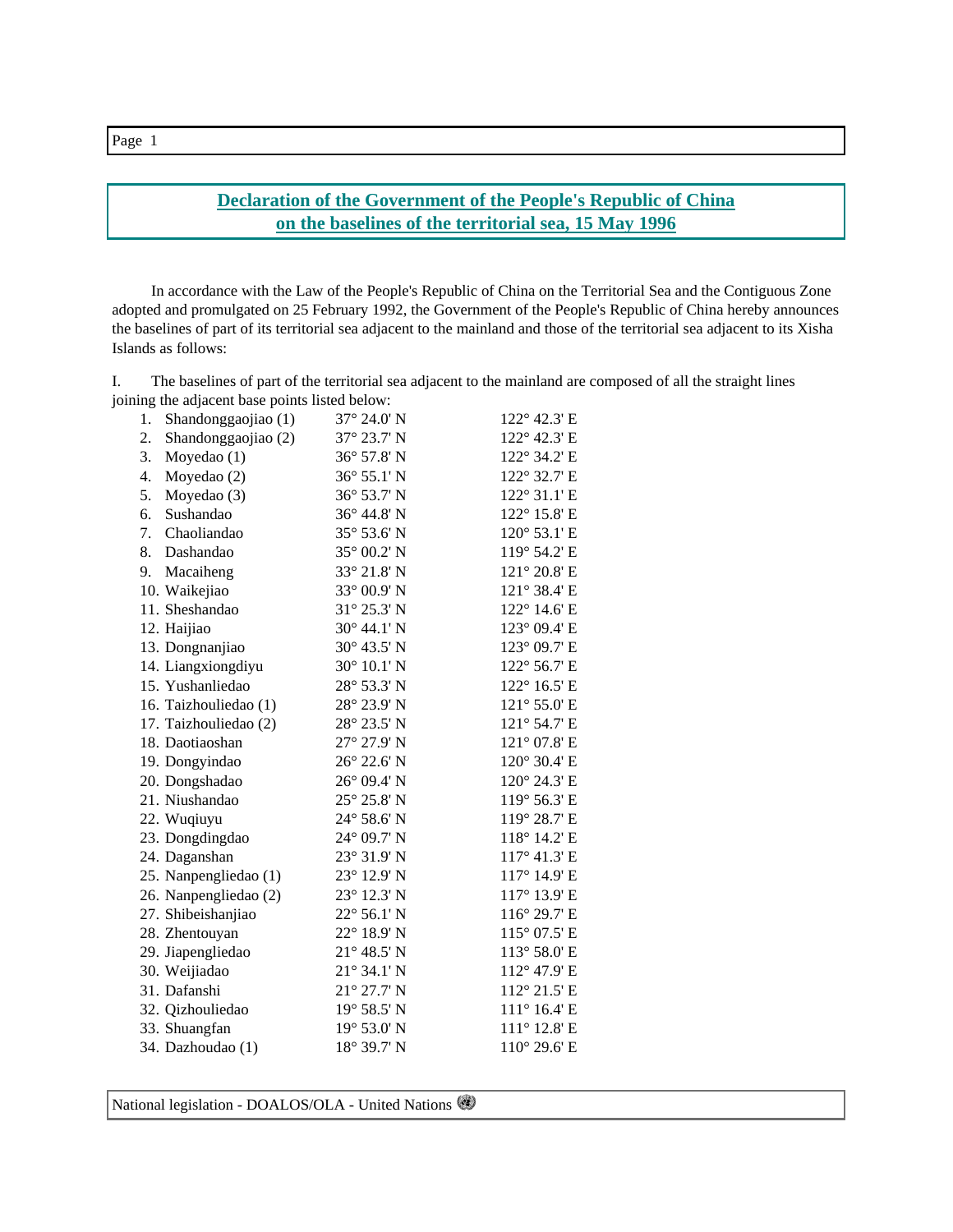## **Declaration of the Government of the People's Republic of China on the baselines of the territorial sea, 15 May 1996**

 In accordance with the Law of the People's Republic of China on the Territorial Sea and the Contiguous Zone adopted and promulgated on 25 February 1992, the Government of the People's Republic of China hereby announces the baselines of part of its territorial sea adjacent to the mainland and those of the territorial sea adjacent to its Xisha Islands as follows:

I. The baselines of part of the territorial sea adjacent to the mainland are composed of all the straight lines joining the adjacent base points listed below:

| 1.<br>Shandonggaojiao (1) | 37° 24.0' N          | 122° 42.3' E          |
|---------------------------|----------------------|-----------------------|
| Shandonggaojiao (2)<br>2. | 37° 23.7' N          | 122° 42.3' E          |
| 3.<br>Moyedao (1)         | 36° 57.8' N          | 122° 34.2' E          |
| 4.<br>Moyedao (2)         | 36° 55.1' N          | 122° 32.7' E          |
| 5.<br>Moyedao (3)         | 36° 53.7' N          | 122° 31.1' E          |
| Sushandao<br>6.           | 36° 44.8' N          | 122° 15.8' E          |
| Chaoliandao<br>7.         | 35° 53.6' N          | 120° 53.1' E          |
| 8.<br>Dashandao           | 35° 00.2' N          | 119° 54.2' E          |
| 9.<br>Macaiheng           | 33° 21.8' N          | 121° 20.8' E          |
| 10. Waikejiao             | 33° 00.9' N          | 121° 38.4' E          |
| 11. Sheshandao            | 31° 25.3' N          | 122° 14.6' E          |
| 12. Haijiao               | 30° 44.1' N          | 123° 09.4' E          |
| 13. Dongnanjiao           | 30° 43.5' N          | 123° 09.7' E          |
| 14. Liangxiongdiyu        | 30° 10.1' N          | 122° 56.7' E          |
| 15. Yushanliedao          | 28° 53.3' N          | 122° 16.5' E          |
| 16. Taizhouliedao (1)     | 28° 23.9' N          | 121° 55.0' E          |
| 17. Taizhouliedao (2)     | 28° 23.5' N          | 121° 54.7' E          |
| 18. Daotiaoshan           | 27° 27.9' N          | 121° 07.8' E          |
| 19. Dongyindao            | 26° 22.6' N          | 120° 30.4' E          |
| 20. Dongshadao            | 26° 09.4' N          | 120° 24.3' E          |
| 21. Niushandao            | 25° 25.8' N          | 119° 56.3' E          |
| 22. Wuqiuyu               | 24° 58.6' N          | 119° 28.7' E          |
| 23. Dongdingdao           | 24° 09.7' N          | 118° 14.2' E          |
| 24. Daganshan             | 23° 31.9' N          | 117° 41.3' E          |
| 25. Nanpengliedao (1)     | 23° 12.9' N          | 117° 14.9' E          |
| 26. Nanpengliedao (2)     | 23° 12.3' N          | 117° 13.9' E          |
| 27. Shibeishanjiao        | 22° 56.1' N          | 116° 29.7' E          |
| 28. Zhentouyan            | 22° 18.9' N          | 115° 07.5' E          |
| 29. Jiapengliedao         | $21^{\circ}$ 48.5' N | 113° 58.0' E          |
| 30. Weijiadao             | $21^{\circ}$ 34.1' N | 112° 47.9' E          |
| 31. Dafanshi              | 21° 27.7' N          | 112° 21.5' E          |
| 32. Qizhouliedao          | 19° 58.5' N          | $111^{\circ}$ 16.4' E |
| 33. Shuangfan             | 19° 53.0' N          | 111° 12.8' E          |
| 34. Dazhoudao (1)         | 18° 39.7' N          | 110° 29.6' E          |

National legislation - DOALOS/OLA - United Nations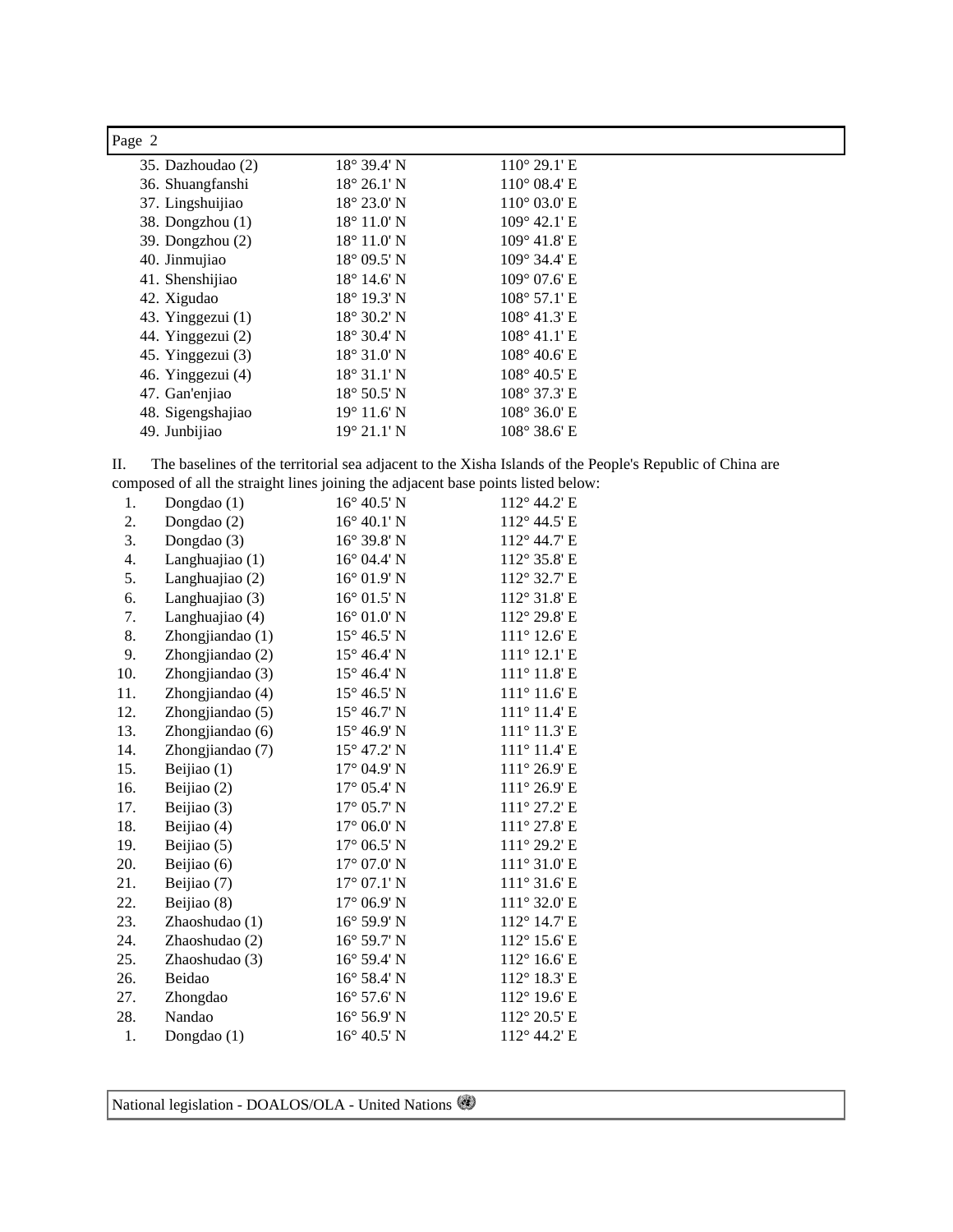## Page 2

| 35. Dazhoudao (2) | $18^{\circ}$ 39.4' N | $110^{\circ} 29.1$ ' E |
|-------------------|----------------------|------------------------|
| 36. Shuangfanshi  | $18^{\circ} 26.1' N$ | $110^{\circ}$ 08.4' E  |
| 37. Lingshuijiao  | $18^{\circ}$ 23.0' N | $110^{\circ}$ 03.0' E  |
| 38. Dongzhou (1)  | $18^{\circ}$ 11.0' N | $109^{\circ}$ 42.1' E  |
| 39. Dongzhou (2)  | $18^{\circ}$ 11.0' N | $109^{\circ}$ 41.8' E  |
| 40. Jinmujiao     | $18^{\circ}$ 09.5' N | $109^{\circ}$ 34.4' E  |
| 41. Shenshijiao   | $18^{\circ}$ 14.6' N | $109^{\circ}$ 07.6' E  |
| 42. Xigudao       | $18^{\circ}$ 19.3' N | 108° 57.1' E           |
| 43. Yinggezui (1) | $18^{\circ}$ 30.2' N | $108^{\circ}$ 41.3' E  |
| 44. Yinggezui (2) | $18^{\circ}$ 30.4' N | $108^{\circ}$ 41.1' E  |
| 45. Yinggezui (3) | $18^{\circ}$ 31.0' N | $108^{\circ}$ 40.6' E  |
| 46. Yinggezui (4) | $18^{\circ}$ 31.1' N | $108^{\circ}$ 40.5' E  |
| 47. Gan'enjiao    | $18^{\circ}$ 50.5' N | $108^{\circ}$ 37.3' E  |
| 48. Sigengshajiao | $19^{\circ}$ 11.6' N | $108^{\circ}$ 36.0' E  |
| 49. Junbijiao     | 19° 21.1' N          | 108° 38.6' E           |

II. The baselines of the territorial sea adjacent to the Xisha Islands of the People's Republic of China are composed of all the straight lines joining the adjacent base points listed below:

| 1.  | Dongdao $(1)$    | $16^{\circ}$ 40.5' N | 112° 44.2' E           |
|-----|------------------|----------------------|------------------------|
| 2.  | Dongdao (2)      | $16^{\circ}$ 40.1' N | $112^{\circ}$ 44.5' E  |
| 3.  | Dongdao (3)      | $16^{\circ}$ 39.8' N | 112° 44.7' E           |
| 4.  | Langhuajiao (1)  | $16^{\circ}$ 04.4' N | 112° 35.8' E           |
| 5.  | Langhuajiao (2)  | $16^{\circ}$ 01.9' N | $112^{\circ}$ 32.7' E  |
| 6.  | Langhuajiao (3)  | $16^{\circ}$ 01.5' N | 112° 31.8' E           |
| 7.  | Langhuajiao (4)  | $16^{\circ}$ 01.0' N | 112° 29.8' E           |
| 8.  | Zhongjiandao (1) | $15^{\circ}$ 46.5' N | 111° 12.6' E           |
| 9.  | Zhongjiandao (2) | $15^{\circ}$ 46.4' N | $111^{\circ}$ 12.1' E  |
| 10. | Zhongjiandao (3) | 15° 46.4' N          | $111^{\circ}$ 11.8' E  |
| 11. | Zhongjiandao (4) | $15^{\circ}$ 46.5' N | 111° 11.6' E           |
| 12. | Zhongjiandao (5) | $15^{\circ}$ 46.7' N | 111° 11.4' E           |
| 13. | Zhongjiandao (6) | 15° 46.9' N          | 111° 11.3' E           |
| 14. | Zhongjiandao (7) | 15° 47.2' N          | 111° 11.4' E           |
| 15. | Beijiao (1)      | $17^{\circ}$ 04.9' N | 111° 26.9' E           |
| 16. | Beijiao (2)      | 17° 05.4' N          | 111° 26.9' E           |
| 17. | Beijiao (3)      | $17^{\circ}$ 05.7' N | 111° 27.2' E           |
| 18. | Beijiao (4)      | $17^{\circ}$ 06.0' N | 111° 27.8' E           |
| 19. | Beijiao (5)      | $17^{\circ}$ 06.5' N | 111° 29.2' E           |
| 20. | Beijiao (6)      | $17^{\circ}$ 07.0' N | 111° 31.0' E           |
| 21. | Beijiao (7)      | $17^{\circ}$ 07.1' N | 111° 31.6' E           |
| 22. | Beijiao (8)      | $17^{\circ}$ 06.9' N | 111° 32.0' E           |
| 23. | Zhaoshudao (1)   | $16^{\circ}$ 59.9' N | 112° 14.7' E           |
| 24. | Zhaoshudao (2)   | $16^{\circ}$ 59.7' N | 112° 15.6' E           |
| 25. | Zhaoshudao (3)   | $16^{\circ}$ 59.4' N | $112^{\circ}$ 16.6' E  |
| 26. | Beidao           | $16^{\circ}$ 58.4' N | 112° 18.3' E           |
| 27. | Zhongdao         | $16^{\circ}$ 57.6' N | 112° 19.6' E           |
| 28. | Nandao           | $16^{\circ}$ 56.9' N | $112^{\circ} 20.5$ ' E |
| 1.  | Dongdao (1)      | $16^{\circ}$ 40.5' N | 112° 44.2' E           |